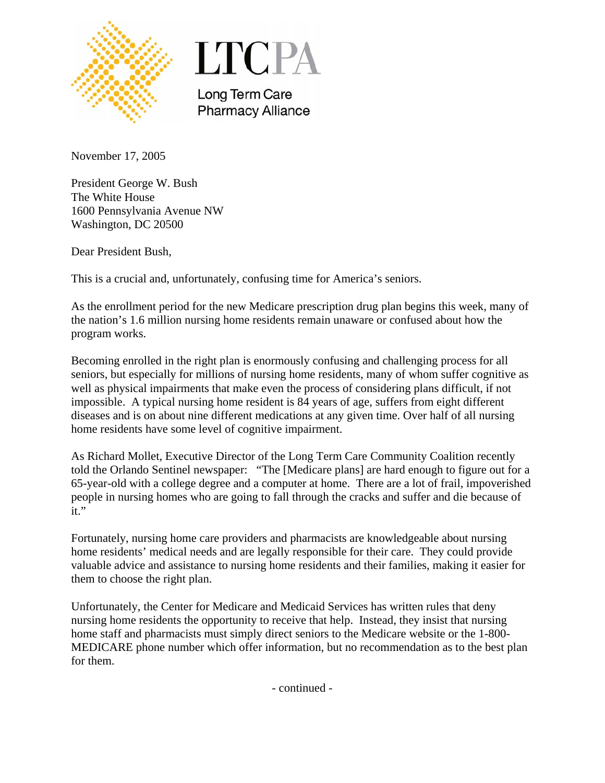



Long Term Care **Pharmacy Alliance** 

November 17, 2005

President George W. Bush The White House 1600 Pennsylvania Avenue NW Washington, DC 20500

Dear President Bush,

This is a crucial and, unfortunately, confusing time for America's seniors.

As the enrollment period for the new Medicare prescription drug plan begins this week, many of the nation's 1.6 million nursing home residents remain unaware or confused about how the program works.

Becoming enrolled in the right plan is enormously confusing and challenging process for all seniors, but especially for millions of nursing home residents, many of whom suffer cognitive as well as physical impairments that make even the process of considering plans difficult, if not impossible. A typical nursing home resident is 84 years of age, suffers from eight different diseases and is on about nine different medications at any given time. Over half of all nursing home residents have some level of cognitive impairment.

As Richard Mollet, Executive Director of the Long Term Care Community Coalition recently told the Orlando Sentinel newspaper: "The [Medicare plans] are hard enough to figure out for a 65-year-old with a college degree and a computer at home. There are a lot of frail, impoverished people in nursing homes who are going to fall through the cracks and suffer and die because of it."

Fortunately, nursing home care providers and pharmacists are knowledgeable about nursing home residents' medical needs and are legally responsible for their care. They could provide valuable advice and assistance to nursing home residents and their families, making it easier for them to choose the right plan.

Unfortunately, the Center for Medicare and Medicaid Services has written rules that deny nursing home residents the opportunity to receive that help. Instead, they insist that nursing home staff and pharmacists must simply direct seniors to the Medicare website or the 1-800- MEDICARE phone number which offer information, but no recommendation as to the best plan for them.

- continued -